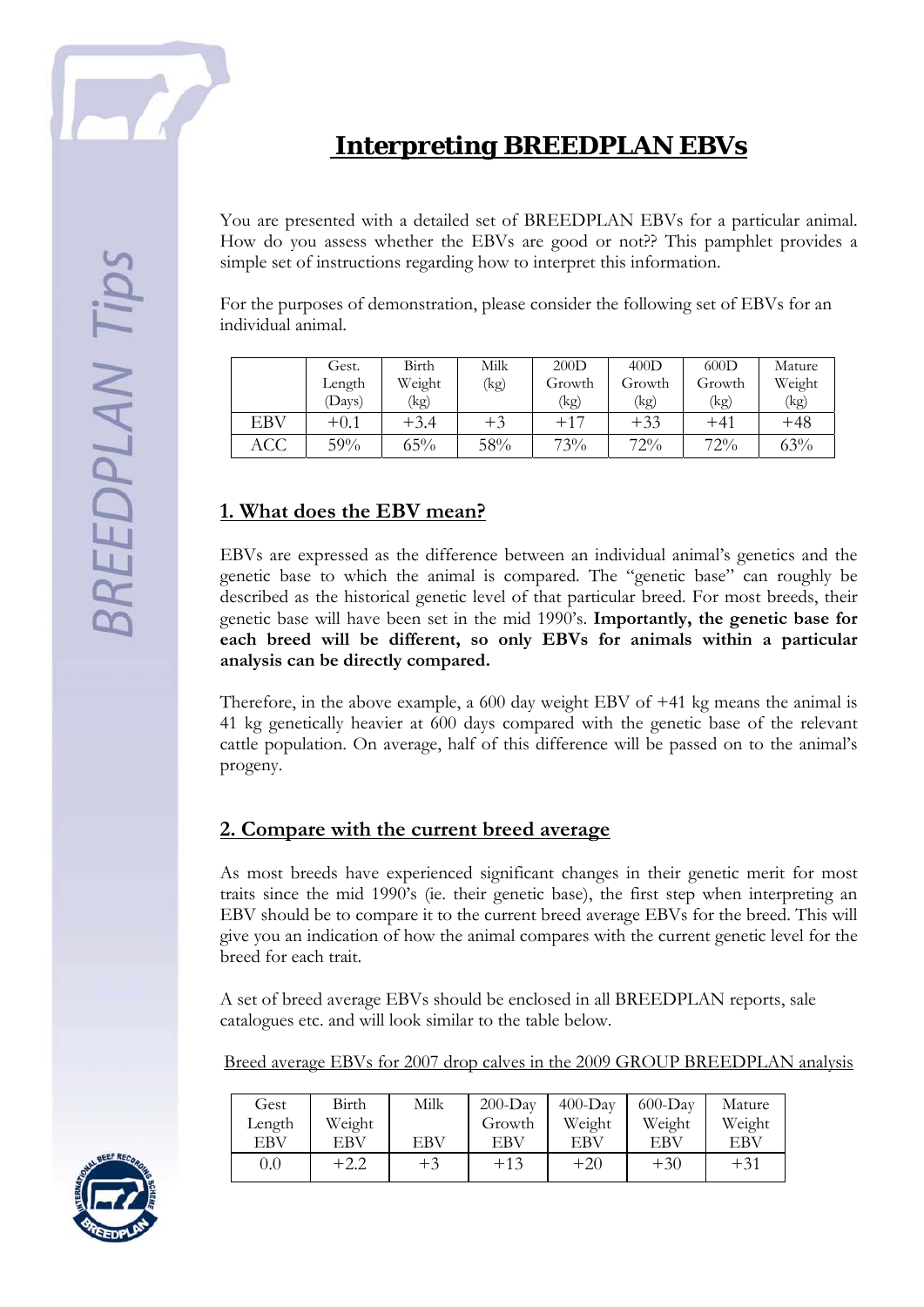

You are presented with a detailed set of BREEDPLAN EBVs for a particular animal. How do you assess whether the EBVs are good or not?? This pamphlet provides a simple set of instructions regarding how to interpret this information.

For the purposes of demonstration, please consider the following set of EBVs for an individual animal.

|     | Gest.  | Birth  | Milk | 200D   | 400D   | 600D   | Mature |
|-----|--------|--------|------|--------|--------|--------|--------|
|     | Length | Weight | (kg) | Growth | Growth | Growth | Weight |
|     | (Days) | (kg)   |      | (kg)   | (kg)   | (kg)   | (kg)   |
| EBV | $+0.1$ | $+3.4$ | $+3$ | $+17$  | $+33$  | $+41$  | +48    |
| ACC | 59%    | 65%    | 58%  | 73%    | 72%    | 72%    | 63%    |

## **1. What does the EBV mean?**

EBVs are expressed as the difference between an individual animal's genetics and the genetic base to which the animal is compared. The "genetic base" can roughly be described as the historical genetic level of that particular breed. For most breeds, their genetic base will have been set in the mid 1990's. **Importantly, the genetic base for each breed will be different, so only EBVs for animals within a particular analysis can be directly compared.** 

Therefore, in the above example, a 600 day weight EBV of +41 kg means the animal is 41 kg genetically heavier at 600 days compared with the genetic base of the relevant cattle population. On average, half of this difference will be passed on to the animal's progeny.

### **2. Compare with the current breed average**

As most breeds have experienced significant changes in their genetic merit for most traits since the mid 1990's (ie. their genetic base), the first step when interpreting an EBV should be to compare it to the current breed average EBVs for the breed. This will give you an indication of how the animal compares with the current genetic level for the breed for each trait.

A set of breed average EBVs should be enclosed in all BREEDPLAN reports, sale catalogues etc. and will look similar to the table below.

Breed average EBVs for 2007 drop calves in the 2009 GROUP BREEDPLAN analysis

| Gest       | Birth  | Milk | $200$ -Day | $400-Dav$ | $600$ -Day | Mature |
|------------|--------|------|------------|-----------|------------|--------|
| Length     | Weight |      | Growth     | Weight    | Weight     | Weight |
| <b>EBV</b> | EBV    | EBV  | EBV        | EBV       | EBV        | EBV    |
| 0.0        | $+2.2$ | $+3$ | $+13$      | $+20$     | $+30$      | $+31$  |

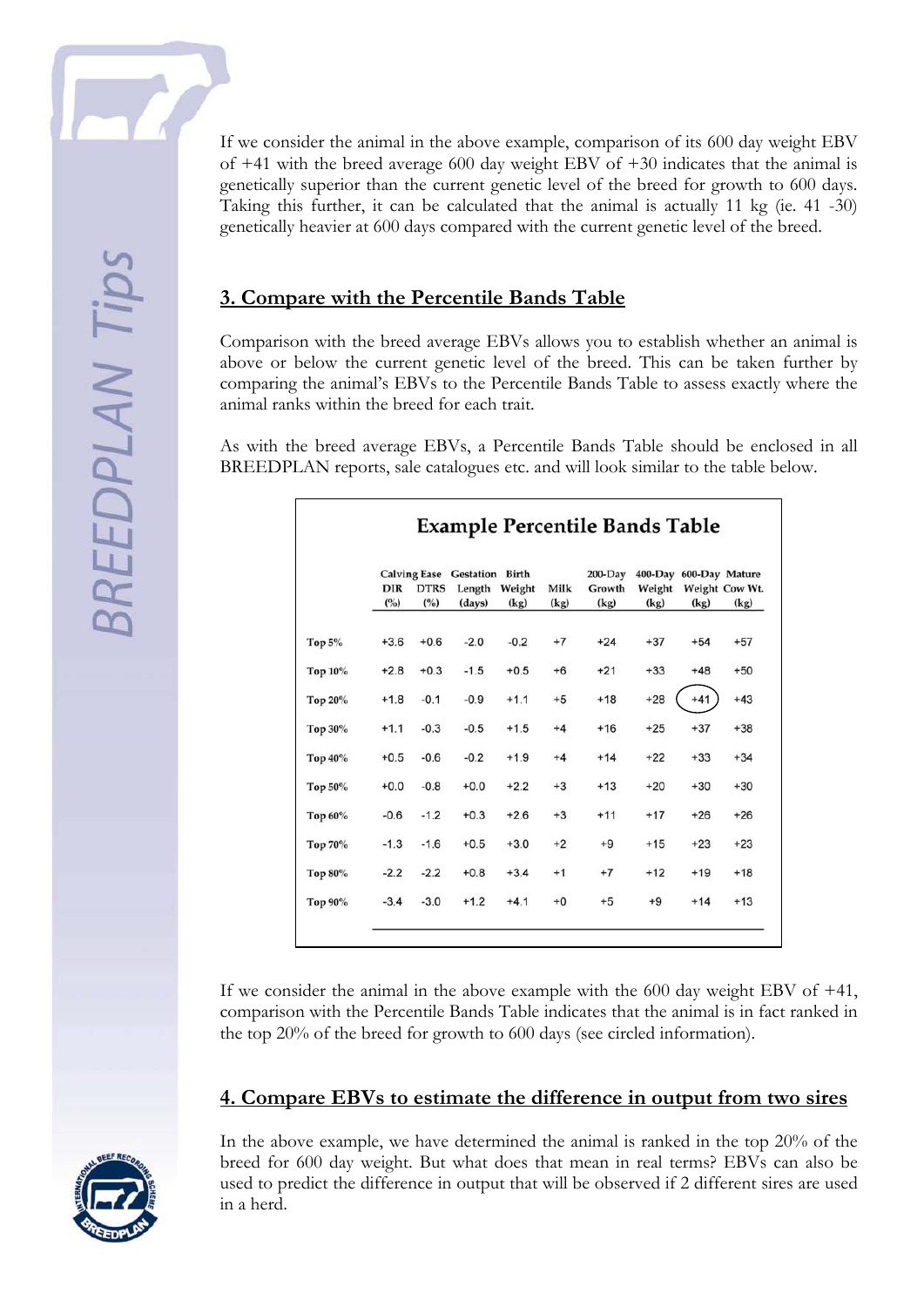If we consider the animal in the above example, comparison of its 600 day weight EBV of +41 with the breed average 600 day weight EBV of +30 indicates that the animal is genetically superior than the current genetic level of the breed for growth to 600 days. Taking this further, it can be calculated that the animal is actually 11 kg (ie. 41 -30) genetically heavier at 600 days compared with the current genetic level of the breed.

## **3. Compare with the Percentile Bands Table**

Comparison with the breed average EBVs allows you to establish whether an animal is above or below the current genetic level of the breed. This can be taken further by comparing the animal's EBVs to the Percentile Bands Table to assess exactly where the animal ranks within the breed for each trait.

As with the breed average EBVs, a Percentile Bands Table should be enclosed in all BREEDPLAN reports, sale catalogues etc. and will look similar to the table below.

|           | <b>DIR</b><br>(° <sub>o</sub> ) | <b>DTRS</b><br>(° <sub>o</sub> ) | <b>Calving Ease</b> Gestation Birth<br>Length<br>(days) | Weight<br>(kg) | Milk<br>(kg) | $200$ -Day<br>Growth<br>(kg) | Weight<br>(kg) | 400-Day 600-Day Mature<br>(kg) | Weight Cow Wt.<br>(kg) |
|-----------|---------------------------------|----------------------------------|---------------------------------------------------------|----------------|--------------|------------------------------|----------------|--------------------------------|------------------------|
| Top $5\%$ | $+3.6$                          | $+0.6$                           | $-2.0$                                                  | $-0.2$         | $+7$         | $+24$                        | $+37$          | $+54$                          | $+57$                  |
| Top 10%   | $+2.8$                          | $+0.3$                           | $-1.5$                                                  | $+0.5$         | $+6$         | $+21$                        | $+33$          | $+48$                          | $+50$                  |
| Top 20%   | $+1.8$                          | $-0.1$                           | $-0.9$                                                  | $+1.1$         | $+5$         | $+18$                        | $+28$          | $+41$                          | $+43$                  |
| Top 30%   | $+1.1$                          | $-0.3$                           | $-0.5$                                                  | $+1.5$         | $+4$         | $+16$                        | $+25$          | $+37$                          | $+38$                  |
| Top 40%   | $+0.5$                          | $-0.6$                           | $-0.2$                                                  | $+1.9$         | $+4$         | $+14$                        | $+22$          | $+33$                          | $+34$                  |
| Top 50%   | $+0.0$                          | $-0.8$                           | $+0.0$                                                  | $+2.2$         | $+3$         | $+13$                        | $+20$          | $+30$                          | $+30$                  |
| Top 60%   | $-0.6$                          | $-1.2$                           | $+0.3$                                                  | $+2.6$         | $+3$         | $+11$                        | $+17$          | $+26$                          | $+26$                  |
| Top 70%   | $-1.3$                          | $-1.6$                           | $+0.5$                                                  | $+3.0$         | $+2$         | $+9$                         | $+15$          | $+23$                          | $+23$                  |
| Top 80%   | $-2.2$                          | $-2.2$                           | $+0.8$                                                  | $+3.4$         | $+1$         | $+7$                         | $+12$          | $+19$                          | $+18$                  |
| Top 90%   | $-3.4$                          | $-3.0$                           | $+1.2$                                                  | $+4.1$         | $+0$         | $+5$                         | $+9$           | $+14$                          | $+13$                  |

If we consider the animal in the above example with the 600 day weight EBV of +41, comparison with the Percentile Bands Table indicates that the animal is in fact ranked in the top 20% of the breed for growth to 600 days (see circled information).

### **4. Compare EBVs to estimate the difference in output from two sires**



In the above example, we have determined the animal is ranked in the top 20% of the breed for 600 day weight. But what does that mean in real terms? EBVs can also be used to predict the difference in output that will be observed if 2 different sires are used in a herd.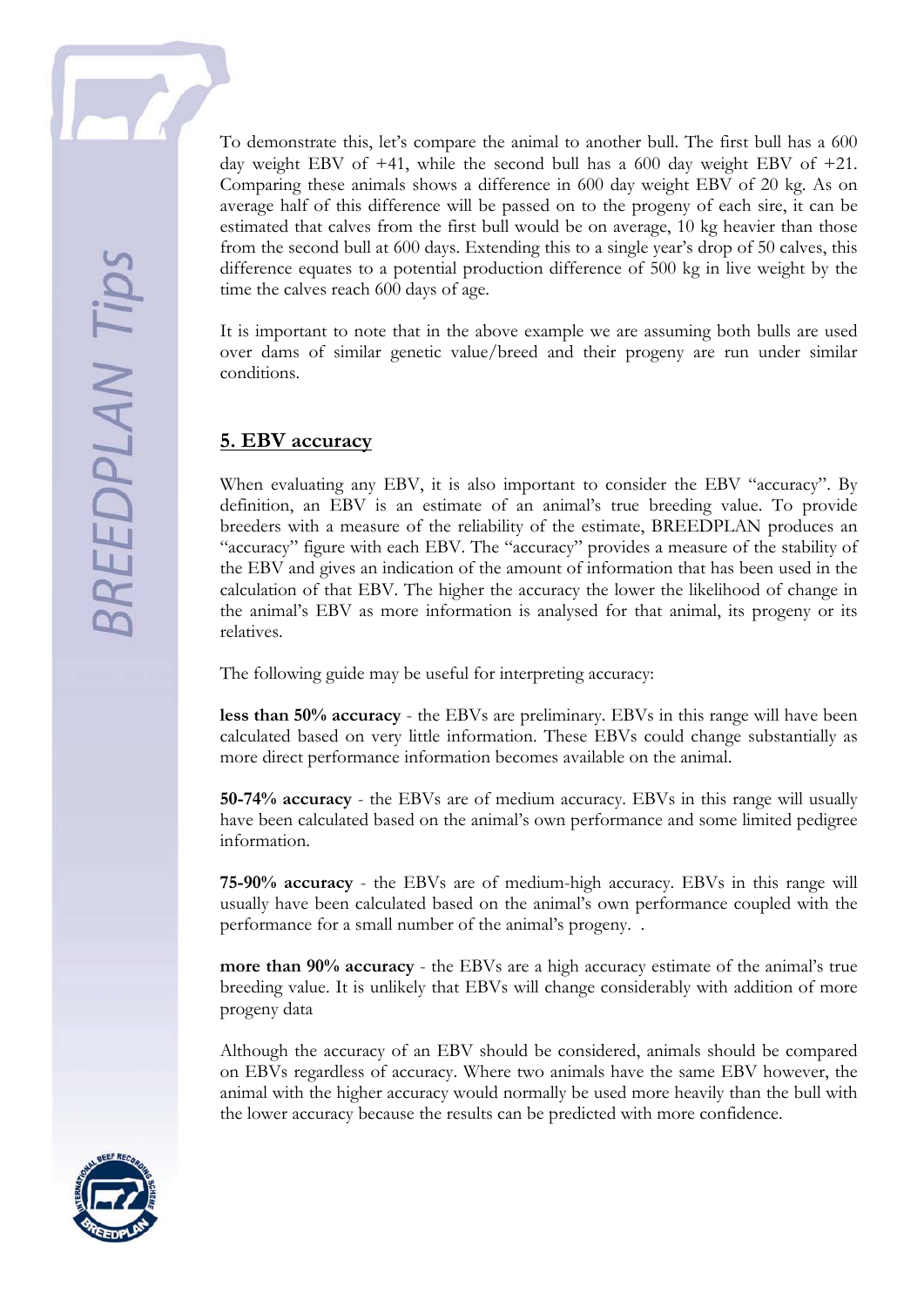To demonstrate this, let's compare the animal to another bull. The first bull has a 600 day weight EBV of  $+41$ , while the second bull has a 600 day weight EBV of  $+21$ . Comparing these animals shows a difference in 600 day weight EBV of 20 kg. As on average half of this difference will be passed on to the progeny of each sire, it can be estimated that calves from the first bull would be on average, 10 kg heavier than those from the second bull at 600 days. Extending this to a single year's drop of 50 calves, this difference equates to a potential production difference of 500 kg in live weight by the time the calves reach 600 days of age.

It is important to note that in the above example we are assuming both bulls are used over dams of similar genetic value/breed and their progeny are run under similar conditions.

#### **5. EBV accuracy**

When evaluating any EBV, it is also important to consider the EBV "accuracy". By definition, an EBV is an estimate of an animal's true breeding value. To provide breeders with a measure of the reliability of the estimate, BREEDPLAN produces an "accuracy" figure with each EBV. The "accuracy" provides a measure of the stability of the EBV and gives an indication of the amount of information that has been used in the calculation of that EBV. The higher the accuracy the lower the likelihood of change in the animal's EBV as more information is analysed for that animal, its progeny or its relatives.

The following guide may be useful for interpreting accuracy:

**less than 50% accuracy** - the EBVs are preliminary. EBVs in this range will have been calculated based on very little information. These EBVs could change substantially as more direct performance information becomes available on the animal.

**50-74% accuracy** - the EBVs are of medium accuracy. EBVs in this range will usually have been calculated based on the animal's own performance and some limited pedigree information.

**75-90% accuracy** - the EBVs are of medium-high accuracy. EBVs in this range will usually have been calculated based on the animal's own performance coupled with the performance for a small number of the animal's progeny. .

**more than 90% accuracy** - the EBVs are a high accuracy estimate of the animal's true breeding value. It is unlikely that EBVs will change considerably with addition of more progeny data

Although the accuracy of an EBV should be considered, animals should be compared on EBVs regardless of accuracy. Where two animals have the same EBV however, the animal with the higher accuracy would normally be used more heavily than the bull with the lower accuracy because the results can be predicted with more confidence.